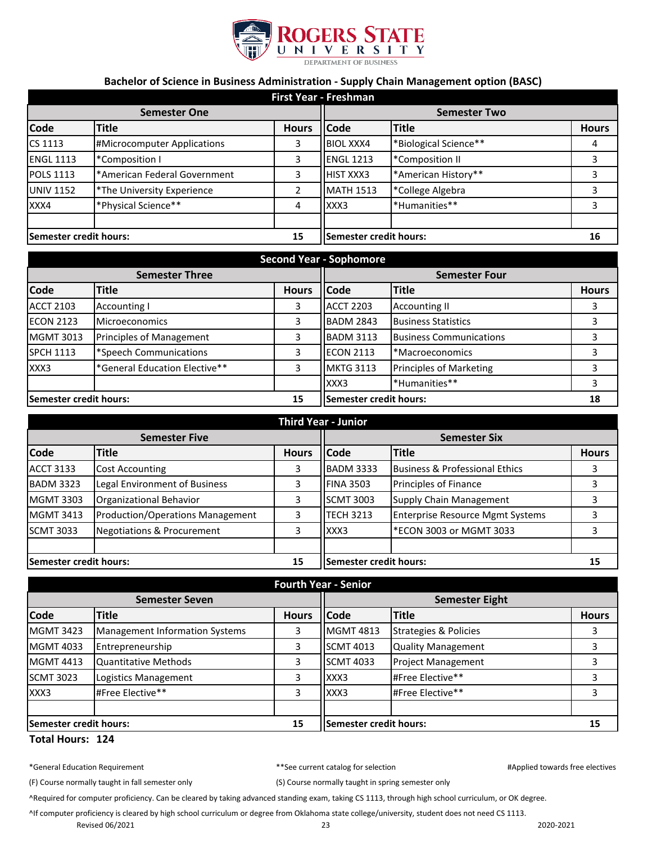

## **Bachelor of Science in Business Administration - Supply Chain Management option (BASC)**

| <b>First Year - Freshman</b> |                              |              |                        |                       |              |
|------------------------------|------------------------------|--------------|------------------------|-----------------------|--------------|
| <b>Semester One</b>          |                              |              | <b>Semester Two</b>    |                       |              |
| <b>Code</b>                  | <b>Title</b>                 | <b>Hours</b> | <b>Code</b>            | <b>Title</b>          | <b>Hours</b> |
| CS 1113                      | #Microcomputer Applications  | 3            | <b>BIOL XXX4</b>       | *Biological Science** | 4            |
| <b>ENGL 1113</b>             | *Composition I               | 3            | <b>ENGL 1213</b>       | *Composition II       | 3            |
| <b>POLS 1113</b>             | *American Federal Government | 3            | <b>HIST XXX3</b>       | *American History**   | 3            |
| <b>UNIV 1152</b>             | *The University Experience   | 2            | <b>MATH 1513</b>       | *College Algebra      |              |
| XXX4                         | *Physical Science**          | 4            | XXX3                   | *Humanities**         | 3            |
| Semester credit hours:       |                              | 15           | Semester credit hours: |                       | 16           |

| <b>Second Year - Sophomore</b> |                               |                        |                      |                                |              |
|--------------------------------|-------------------------------|------------------------|----------------------|--------------------------------|--------------|
| <b>Semester Three</b>          |                               |                        | <b>Semester Four</b> |                                |              |
| <b>Code</b>                    | <b>Title</b>                  | <b>Hours</b>           | <b>Code</b>          | <b>Title</b>                   | <b>Hours</b> |
| <b>ACCT 2103</b>               | <b>Accounting I</b>           | 3                      | <b>ACCT 2203</b>     | <b>Accounting II</b>           |              |
| <b>ECON 2123</b>               | <b>Microeconomics</b>         | 3                      | <b>BADM 2843</b>     | <b>Business Statistics</b>     |              |
| <b>MGMT 3013</b>               | Principles of Management      |                        | <b>BADM 3113</b>     | <b>Business Communications</b> |              |
| <b>SPCH 1113</b>               | *Speech Communications        | 3                      | <b>ECON 2113</b>     | *Macroeconomics                |              |
| XXX3                           | *General Education Elective** | 3                      | <b>MKTG 3113</b>     | <b>Principles of Marketing</b> |              |
|                                |                               |                        | XXX3                 | *Humanities**                  |              |
| Semester credit hours:<br>15   |                               | Semester credit hours: |                      | 18                             |              |

| <b>Third Year - Junior</b>   |                                       |              |                               |                                           |              |
|------------------------------|---------------------------------------|--------------|-------------------------------|-------------------------------------------|--------------|
| <b>Semester Five</b>         |                                       |              | <b>Semester Six</b>           |                                           |              |
| <b>Code</b>                  | Title                                 | <b>Hours</b> | lCode                         | <b>Title</b>                              | <b>Hours</b> |
| <b>ACCT 3133</b>             | <b>Cost Accounting</b>                | 3            | <b>BADM 3333</b>              | <b>Business &amp; Professional Ethics</b> |              |
| <b>BADM 3323</b>             | Legal Environment of Business         | 3            | <b>FINA 3503</b>              | Principles of Finance                     |              |
| <b>MGMT 3303</b>             | Organizational Behavior               | 3            | <b>SCMT 3003</b>              | <b>Supply Chain Management</b>            |              |
| <b>MGMT 3413</b>             | Production/Operations Management      | 3            | <b>TECH 3213</b>              | <b>Enterprise Resource Mgmt Systems</b>   |              |
| <b>SCMT 3033</b>             | <b>Negotiations &amp; Procurement</b> | 3            | XXX3                          | *ECON 3003 or MGMT 3033                   |              |
|                              |                                       |              |                               |                                           |              |
| Semester credit hours:<br>15 |                                       |              | <b>Semester credit hours:</b> |                                           | 15           |

| <b>Fourth Year - Senior</b>  |                                       |                               |                       |                                  |              |
|------------------------------|---------------------------------------|-------------------------------|-----------------------|----------------------------------|--------------|
| <b>Semester Seven</b>        |                                       |                               | <b>Semester Eight</b> |                                  |              |
| <b>Code</b>                  | <b>Title</b>                          | <b>Hours</b>                  | <b>Code</b>           | <b>Title</b>                     | <b>Hours</b> |
| <b>MGMT 3423</b>             | <b>Management Information Systems</b> | 3                             | <b>MGMT 4813</b>      | <b>Strategies &amp; Policies</b> |              |
| <b>MGMT 4033</b>             | Entrepreneurship                      | 3                             | <b>SCMT 4013</b>      | <b>Quality Management</b>        |              |
| <b>MGMT 4413</b>             | <b>Quantitative Methods</b>           | 3                             | <b>SCMT 4033</b>      | <b>Project Management</b>        |              |
| <b>SCMT 3023</b>             | Logistics Management                  | 3                             | XXX3                  | #Free Elective**                 |              |
| XXX3                         | #Free Elective**                      | 3                             | XXX3                  | #Free Elective**                 |              |
|                              |                                       |                               |                       |                                  |              |
| 15<br>Semester credit hours: |                                       | <b>Semester credit hours:</b> |                       | 15                               |              |

## **Total Hours: 124**

(F) Course normally taught in fall semester only (S) Course normally taught in spring semester only

^Required for computer proficiency. Can be cleared by taking advanced standing exam, taking CS 1113, through high school curriculum, or OK degree.

^If computer proficiency is cleared by high school curriculum or degree from Oklahoma state college/university, student does not need CS 1113.

Revised 06/2021 23 2020-2021